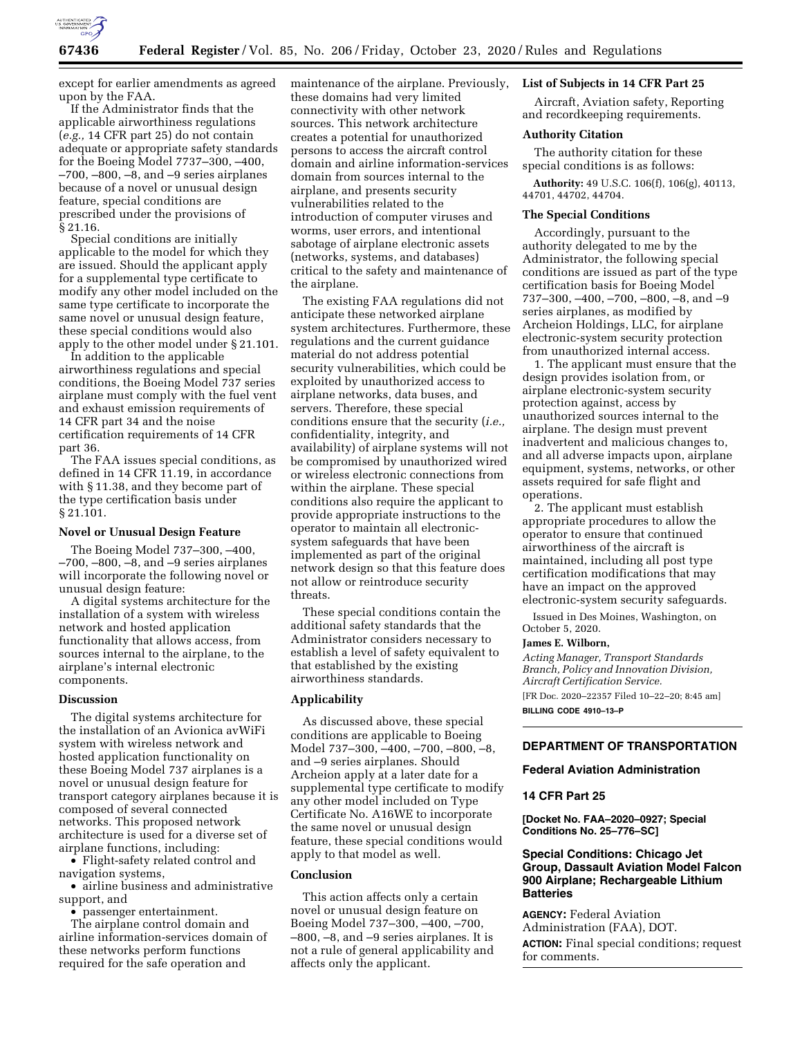

except for earlier amendments as agreed upon by the FAA.

If the Administrator finds that the applicable airworthiness regulations (*e.g.,* 14 CFR part 25) do not contain adequate or appropriate safety standards for the Boeing Model 7737–300, –400, –700, –800, –8, and –9 series airplanes because of a novel or unusual design feature, special conditions are prescribed under the provisions of § 21.16.

Special conditions are initially applicable to the model for which they are issued. Should the applicant apply for a supplemental type certificate to modify any other model included on the same type certificate to incorporate the same novel or unusual design feature, these special conditions would also apply to the other model under § 21.101.

In addition to the applicable airworthiness regulations and special conditions, the Boeing Model 737 series airplane must comply with the fuel vent and exhaust emission requirements of 14 CFR part 34 and the noise certification requirements of 14 CFR part 36.

The FAA issues special conditions, as defined in 14 CFR 11.19, in accordance with § 11.38, and they become part of the type certification basis under § 21.101.

### **Novel or Unusual Design Feature**

The Boeing Model 737–300, –400, –700, –800, –8, and –9 series airplanes will incorporate the following novel or unusual design feature:

A digital systems architecture for the installation of a system with wireless network and hosted application functionality that allows access, from sources internal to the airplane, to the airplane's internal electronic components.

#### **Discussion**

The digital systems architecture for the installation of an Avionica avWiFi system with wireless network and hosted application functionality on these Boeing Model 737 airplanes is a novel or unusual design feature for transport category airplanes because it is composed of several connected networks. This proposed network architecture is used for a diverse set of airplane functions, including:

• Flight-safety related control and navigation systems,

• airline business and administrative support, and

• passenger entertainment.

The airplane control domain and airline information-services domain of these networks perform functions required for the safe operation and

maintenance of the airplane. Previously, these domains had very limited connectivity with other network sources. This network architecture creates a potential for unauthorized persons to access the aircraft control domain and airline information-services domain from sources internal to the airplane, and presents security vulnerabilities related to the introduction of computer viruses and worms, user errors, and intentional sabotage of airplane electronic assets (networks, systems, and databases) critical to the safety and maintenance of the airplane.

The existing FAA regulations did not anticipate these networked airplane system architectures. Furthermore, these regulations and the current guidance material do not address potential security vulnerabilities, which could be exploited by unauthorized access to airplane networks, data buses, and servers. Therefore, these special conditions ensure that the security (*i.e.,*  confidentiality, integrity, and availability) of airplane systems will not be compromised by unauthorized wired or wireless electronic connections from within the airplane. These special conditions also require the applicant to provide appropriate instructions to the operator to maintain all electronicsystem safeguards that have been implemented as part of the original network design so that this feature does not allow or reintroduce security threats.

These special conditions contain the additional safety standards that the Administrator considers necessary to establish a level of safety equivalent to that established by the existing airworthiness standards.

## **Applicability**

As discussed above, these special conditions are applicable to Boeing Model 737–300, –400, –700, –800, –8, and –9 series airplanes. Should Archeion apply at a later date for a supplemental type certificate to modify any other model included on Type Certificate No. A16WE to incorporate the same novel or unusual design feature, these special conditions would apply to that model as well.

# **Conclusion**

This action affects only a certain novel or unusual design feature on Boeing Model 737–300, –400, –700, –800, –8, and –9 series airplanes. It is not a rule of general applicability and affects only the applicant.

# **List of Subjects in 14 CFR Part 25**

Aircraft, Aviation safety, Reporting and recordkeeping requirements.

## **Authority Citation**

The authority citation for these special conditions is as follows:

**Authority:** 49 U.S.C. 106(f), 106(g), 40113, 44701, 44702, 44704.

#### **The Special Conditions**

Accordingly, pursuant to the authority delegated to me by the Administrator, the following special conditions are issued as part of the type certification basis for Boeing Model 737–300, –400, –700, –800, –8, and –9 series airplanes, as modified by Archeion Holdings, LLC, for airplane electronic-system security protection from unauthorized internal access.

1. The applicant must ensure that the design provides isolation from, or airplane electronic-system security protection against, access by unauthorized sources internal to the airplane. The design must prevent inadvertent and malicious changes to, and all adverse impacts upon, airplane equipment, systems, networks, or other assets required for safe flight and operations.

2. The applicant must establish appropriate procedures to allow the operator to ensure that continued airworthiness of the aircraft is maintained, including all post type certification modifications that may have an impact on the approved electronic-system security safeguards.

Issued in Des Moines, Washington, on October 5, 2020.

### **James E. Wilborn,**

*Acting Manager, Transport Standards Branch, Policy and Innovation Division, Aircraft Certification Service.*  [FR Doc. 2020–22357 Filed 10–22–20; 8:45 am] **BILLING CODE 4910–13–P** 

## **DEPARTMENT OF TRANSPORTATION**

### **Federal Aviation Administration**

#### **14 CFR Part 25**

**[Docket No. FAA–2020–0927; Special Conditions No. 25–776–SC]** 

# **Special Conditions: Chicago Jet Group, Dassault Aviation Model Falcon 900 Airplane; Rechargeable Lithium Batteries**

**AGENCY:** Federal Aviation Administration (FAA), DOT. **ACTION:** Final special conditions; request for comments.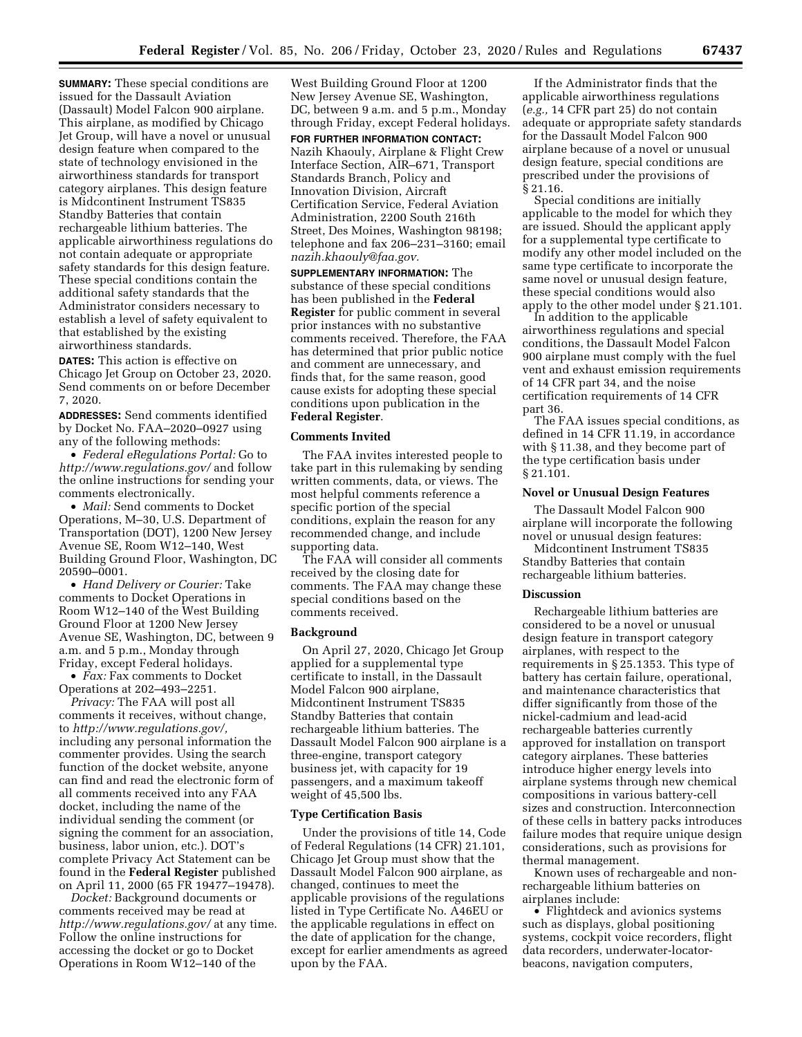**SUMMARY:** These special conditions are issued for the Dassault Aviation (Dassault) Model Falcon 900 airplane. This airplane, as modified by Chicago Jet Group, will have a novel or unusual design feature when compared to the state of technology envisioned in the airworthiness standards for transport category airplanes. This design feature is Midcontinent Instrument TS835 Standby Batteries that contain rechargeable lithium batteries. The applicable airworthiness regulations do not contain adequate or appropriate safety standards for this design feature. These special conditions contain the additional safety standards that the Administrator considers necessary to establish a level of safety equivalent to that established by the existing airworthiness standards.

**DATES:** This action is effective on Chicago Jet Group on October 23, 2020. Send comments on or before December 7, 2020.

**ADDRESSES:** Send comments identified by Docket No. FAA–2020–0927 using any of the following methods:

• *Federal eRegulations Portal:* Go to *<http://www.regulations.gov/>*and follow the online instructions for sending your comments electronically.

• *Mail:* Send comments to Docket Operations, M–30, U.S. Department of Transportation (DOT), 1200 New Jersey Avenue SE, Room W12–140, West Building Ground Floor, Washington, DC 20590–0001.

• *Hand Delivery or Courier:* Take comments to Docket Operations in Room W12–140 of the West Building Ground Floor at 1200 New Jersey Avenue SE, Washington, DC, between 9 a.m. and 5 p.m., Monday through Friday, except Federal holidays.

• *Fax:* Fax comments to Docket Operations at 202–493–2251.

*Privacy:* The FAA will post all comments it receives, without change, to *[http://www.regulations.gov/,](http://www.regulations.gov/)*  including any personal information the commenter provides. Using the search function of the docket website, anyone can find and read the electronic form of all comments received into any FAA docket, including the name of the individual sending the comment (or signing the comment for an association, business, labor union, etc.). DOT's complete Privacy Act Statement can be found in the **Federal Register** published on April 11, 2000 (65 FR 19477–19478).

*Docket:* Background documents or comments received may be read at *<http://www.regulations.gov/>*at any time. Follow the online instructions for accessing the docket or go to Docket Operations in Room W12–140 of the

West Building Ground Floor at 1200 New Jersey Avenue SE, Washington, DC, between 9 a.m. and 5 p.m., Monday through Friday, except Federal holidays.

**FOR FURTHER INFORMATION CONTACT:**  Nazih Khaouly, Airplane & Flight Crew Interface Section, AIR–671, Transport Standards Branch, Policy and Innovation Division, Aircraft Certification Service, Federal Aviation Administration, 2200 South 216th Street, Des Moines, Washington 98198; telephone and fax 206–231–3160; email *[nazih.khaouly@faa.gov.](mailto:nazih.khaouly@faa.gov)* 

**SUPPLEMENTARY INFORMATION:** The substance of these special conditions has been published in the **Federal Register** for public comment in several prior instances with no substantive comments received. Therefore, the FAA has determined that prior public notice and comment are unnecessary, and finds that, for the same reason, good cause exists for adopting these special conditions upon publication in the **Federal Register**.

## **Comments Invited**

The FAA invites interested people to take part in this rulemaking by sending written comments, data, or views. The most helpful comments reference a specific portion of the special conditions, explain the reason for any recommended change, and include supporting data.

The FAA will consider all comments received by the closing date for comments. The FAA may change these special conditions based on the comments received.

#### **Background**

On April 27, 2020, Chicago Jet Group applied for a supplemental type certificate to install, in the Dassault Model Falcon 900 airplane, Midcontinent Instrument TS835 Standby Batteries that contain rechargeable lithium batteries. The Dassault Model Falcon 900 airplane is a three-engine, transport category business jet, with capacity for 19 passengers, and a maximum takeoff weight of 45,500 lbs.

#### **Type Certification Basis**

Under the provisions of title 14, Code of Federal Regulations (14 CFR) 21.101, Chicago Jet Group must show that the Dassault Model Falcon 900 airplane, as changed, continues to meet the applicable provisions of the regulations listed in Type Certificate No. A46EU or the applicable regulations in effect on the date of application for the change, except for earlier amendments as agreed upon by the FAA.

If the Administrator finds that the applicable airworthiness regulations (*e.g.,* 14 CFR part 25) do not contain adequate or appropriate safety standards for the Dassault Model Falcon 900 airplane because of a novel or unusual design feature, special conditions are prescribed under the provisions of § 21.16.

Special conditions are initially applicable to the model for which they are issued. Should the applicant apply for a supplemental type certificate to modify any other model included on the same type certificate to incorporate the same novel or unusual design feature, these special conditions would also apply to the other model under § 21.101.

In addition to the applicable airworthiness regulations and special conditions, the Dassault Model Falcon 900 airplane must comply with the fuel vent and exhaust emission requirements of 14 CFR part 34, and the noise certification requirements of 14 CFR part 36.

The FAA issues special conditions, as defined in 14 CFR 11.19, in accordance with § 11.38, and they become part of the type certification basis under § 21.101.

#### **Novel or Unusual Design Features**

The Dassault Model Falcon 900 airplane will incorporate the following novel or unusual design features:

Midcontinent Instrument TS835 Standby Batteries that contain rechargeable lithium batteries.

#### **Discussion**

Rechargeable lithium batteries are considered to be a novel or unusual design feature in transport category airplanes, with respect to the requirements in § 25.1353. This type of battery has certain failure, operational, and maintenance characteristics that differ significantly from those of the nickel-cadmium and lead-acid rechargeable batteries currently approved for installation on transport category airplanes. These batteries introduce higher energy levels into airplane systems through new chemical compositions in various battery-cell sizes and construction. Interconnection of these cells in battery packs introduces failure modes that require unique design considerations, such as provisions for thermal management.

Known uses of rechargeable and nonrechargeable lithium batteries on airplanes include:

• Flightdeck and avionics systems such as displays, global positioning systems, cockpit voice recorders, flight data recorders, underwater-locatorbeacons, navigation computers,